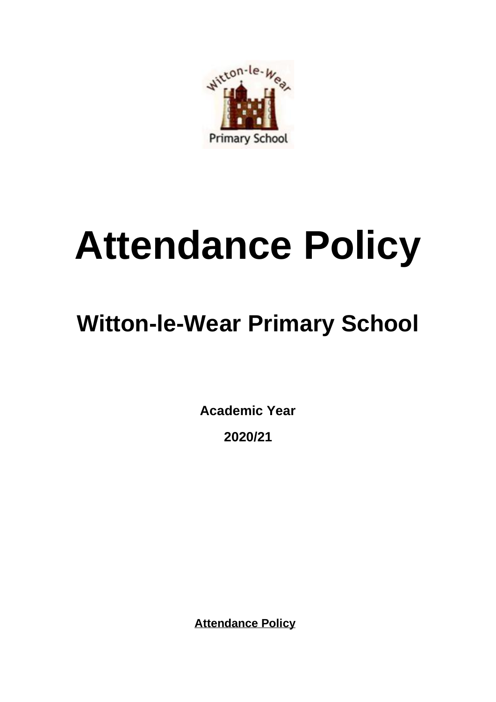

# **Attendance Policy**

# **Witton-le-Wear Primary School**

**Academic Year 2020/21**

**Attendance Policy**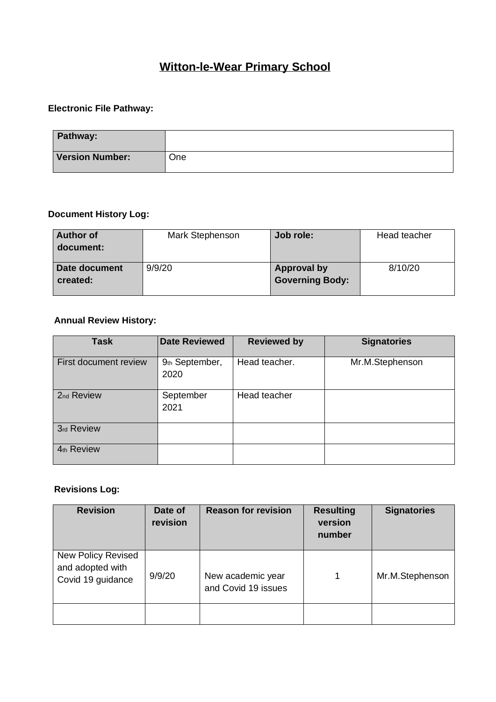# **Witton-le-Wear Primary School**

# **Electronic File Pathway:**

| Pathway:               |     |
|------------------------|-----|
| <b>Version Number:</b> | One |

#### **Document History Log:**

| <b>Author of</b><br>document: | Mark Stephenson | Job role:                                    | Head teacher |
|-------------------------------|-----------------|----------------------------------------------|--------------|
| Date document<br>created:     | 9/9/20          | <b>Approval by</b><br><b>Governing Body:</b> | 8/10/20      |

#### **Annual Review History:**

| <b>Task</b>           | <b>Date Reviewed</b>   | <b>Reviewed by</b> | <b>Signatories</b> |
|-----------------------|------------------------|--------------------|--------------------|
| First document review | 9th September,<br>2020 | Head teacher.      | Mr.M.Stephenson    |
| 2nd Review            | September<br>2021      | Head teacher       |                    |
| 3rd Review            |                        |                    |                    |
| 4th Review            |                        |                    |                    |

## **Revisions Log:**

| <b>Revision</b>                                             | Date of<br>revision | <b>Reason for revision</b>               | <b>Resulting</b><br>version<br>number | <b>Signatories</b> |
|-------------------------------------------------------------|---------------------|------------------------------------------|---------------------------------------|--------------------|
| New Policy Revised<br>and adopted with<br>Covid 19 guidance | 9/9/20              | New academic year<br>and Covid 19 issues | 1                                     | Mr.M.Stephenson    |
|                                                             |                     |                                          |                                       |                    |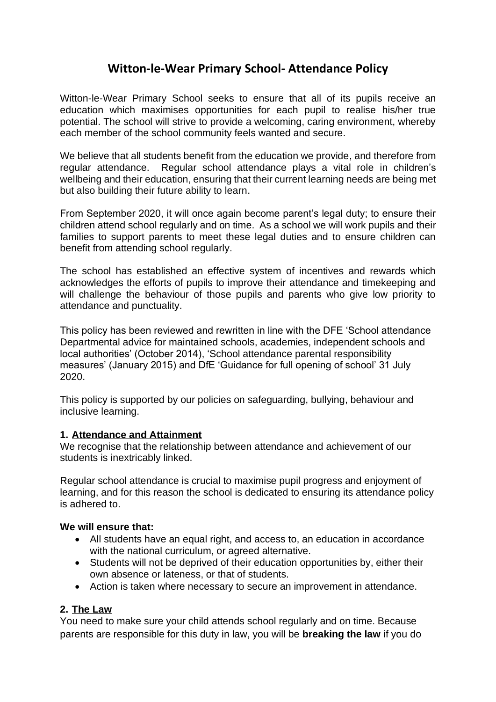# **Witton-le-Wear Primary School- Attendance Policy**

Witton-le-Wear Primary School seeks to ensure that all of its pupils receive an education which maximises opportunities for each pupil to realise his/her true potential. The school will strive to provide a welcoming, caring environment, whereby each member of the school community feels wanted and secure.

We believe that all students benefit from the education we provide, and therefore from regular attendance. Regular school attendance plays a vital role in children's wellbeing and their education, ensuring that their current learning needs are being met but also building their future ability to learn.

From September 2020, it will once again become parent's legal duty; to ensure their children attend school regularly and on time. As a school we will work pupils and their families to support parents to meet these legal duties and to ensure children can benefit from attending school regularly.

The school has established an effective system of incentives and rewards which acknowledges the efforts of pupils to improve their attendance and timekeeping and will challenge the behaviour of those pupils and parents who give low priority to attendance and punctuality.

This policy has been reviewed and rewritten in line with the DFE 'School attendance Departmental advice for maintained schools, academies, independent schools and local authorities' (October 2014), 'School attendance parental responsibility measures' (January 2015) and DfE 'Guidance for full opening of school' 31 July 2020.

This policy is supported by our policies on safeguarding, bullying, behaviour and inclusive learning.

#### **1. Attendance and Attainment**

We recognise that the relationship between attendance and achievement of our students is inextricably linked.

Regular school attendance is crucial to maximise pupil progress and enjoyment of learning, and for this reason the school is dedicated to ensuring its attendance policy is adhered to.

#### **We will ensure that:**

- All students have an equal right, and access to, an education in accordance with the national curriculum, or agreed alternative.
- Students will not be deprived of their education opportunities by, either their own absence or lateness, or that of students.
- Action is taken where necessary to secure an improvement in attendance.

#### **2. The Law**

You need to make sure your child attends school regularly and on time. Because parents are responsible for this duty in law, you will be **breaking the law** if you do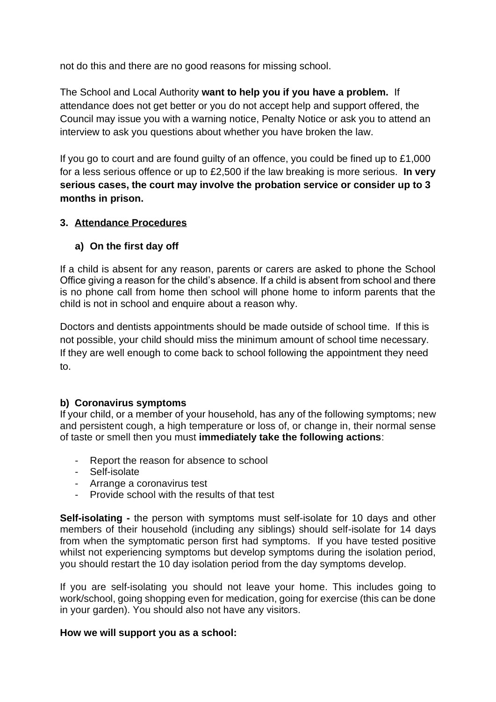not do this and there are no good reasons for missing school.

The School and Local Authority **want to help you if you have a problem.** If attendance does not get better or you do not accept help and support offered, the Council may issue you with a warning notice, Penalty Notice or ask you to attend an interview to ask you questions about whether you have broken the law.

If you go to court and are found guilty of an offence, you could be fined up to £1,000 for a less serious offence or up to £2,500 if the law breaking is more serious. **In very serious cases, the court may involve the probation service or consider up to 3 months in prison.**

#### **3. Attendance Procedures**

#### **a) On the first day off**

If a child is absent for any reason, parents or carers are asked to phone the School Office giving a reason for the child's absence. If a child is absent from school and there is no phone call from home then school will phone home to inform parents that the child is not in school and enquire about a reason why.

Doctors and dentists appointments should be made outside of school time. If this is not possible, your child should miss the minimum amount of school time necessary. If they are well enough to come back to school following the appointment they need to.

#### **b) Coronavirus symptoms**

If your child, or a member of your household, has any of the following symptoms; new and persistent cough, a high temperature or loss of, or change in, their normal sense of taste or smell then you must **immediately take the following actions**:

- Report the reason for absence to school
- Self-isolate
- Arrange a coronavirus test
- Provide school with the results of that test

**Self-isolating -** the person with symptoms must self-isolate for 10 days and other members of their household (including any siblings) should self-isolate for 14 days from when the symptomatic person first had symptoms. If you have tested positive whilst not experiencing symptoms but develop symptoms during the isolation period, you should restart the 10 day isolation period from the day symptoms develop.

If you are self-isolating you should not leave your home. This includes going to work/school, going shopping even for medication, going for exercise (this can be done in your garden). You should also not have any visitors.

#### **How we will support you as a school:**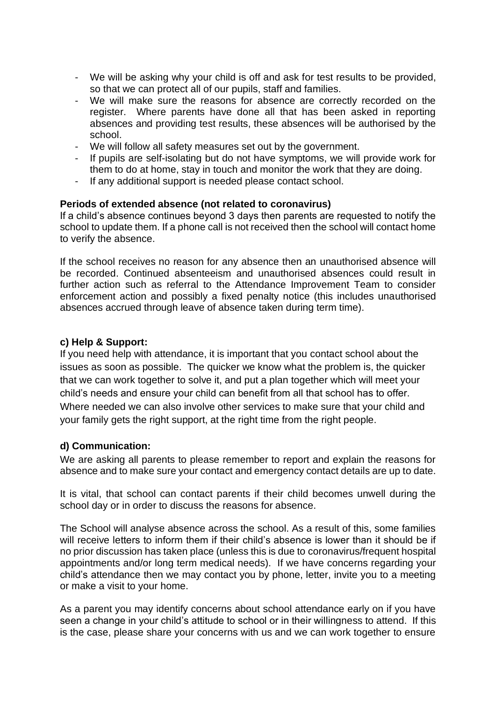- We will be asking why your child is off and ask for test results to be provided, so that we can protect all of our pupils, staff and families.
- We will make sure the reasons for absence are correctly recorded on the register. Where parents have done all that has been asked in reporting absences and providing test results, these absences will be authorised by the school.
- We will follow all safety measures set out by the government.
- If pupils are self-isolating but do not have symptoms, we will provide work for them to do at home, stay in touch and monitor the work that they are doing.
- If any additional support is needed please contact school.

#### **Periods of extended absence (not related to coronavirus)**

If a child's absence continues beyond 3 days then parents are requested to notify the school to update them. If a phone call is not received then the school will contact home to verify the absence.

If the school receives no reason for any absence then an unauthorised absence will be recorded. Continued absenteeism and unauthorised absences could result in further action such as referral to the Attendance Improvement Team to consider enforcement action and possibly a fixed penalty notice (this includes unauthorised absences accrued through leave of absence taken during term time).

#### **c) Help & Support:**

If you need help with attendance, it is important that you contact school about the issues as soon as possible. The quicker we know what the problem is, the quicker that we can work together to solve it, and put a plan together which will meet your child's needs and ensure your child can benefit from all that school has to offer. Where needed we can also involve other services to make sure that your child and your family gets the right support, at the right time from the right people.

#### **d) Communication:**

We are asking all parents to please remember to report and explain the reasons for absence and to make sure your contact and emergency contact details are up to date.

It is vital, that school can contact parents if their child becomes unwell during the school day or in order to discuss the reasons for absence.

The School will analyse absence across the school. As a result of this, some families will receive letters to inform them if their child's absence is lower than it should be if no prior discussion has taken place (unless this is due to coronavirus/frequent hospital appointments and/or long term medical needs). If we have concerns regarding your child's attendance then we may contact you by phone, letter, invite you to a meeting or make a visit to your home.

As a parent you may identify concerns about school attendance early on if you have seen a change in your child's attitude to school or in their willingness to attend. If this is the case, please share your concerns with us and we can work together to ensure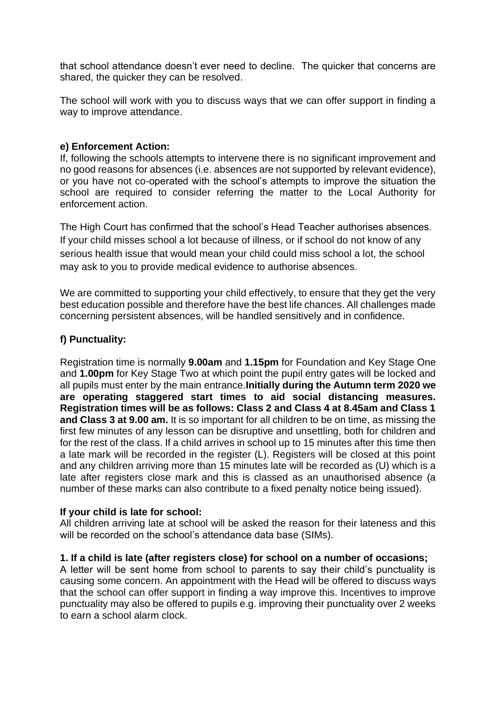that school attendance doesn't ever need to decline. The quicker that concerns are shared, the quicker they can be resolved.

The school will work with you to discuss ways that we can offer support in finding a way to improve attendance.

#### **e) Enforcement Action:**

If, following the schools attempts to intervene there is no significant improvement and no good reasons for absences (i.e. absences are not supported by relevant evidence), or you have not co-operated with the school's attempts to improve the situation the school are required to consider referring the matter to the Local Authority for enforcement action.

The High Court has confirmed that the school's Head Teacher authorises absences. If your child misses school a lot because of illness, or if school do not know of any serious health issue that would mean your child could miss school a lot, the school may ask to you to provide medical evidence to authorise absences.

We are committed to supporting your child effectively, to ensure that they get the very best education possible and therefore have the best life chances. All challenges made concerning persistent absences, will be handled sensitively and in confidence.

#### **f) Punctuality:**

Registration time is normally **9.00am** and **1.15pm** for Foundation and Key Stage One and **1.00pm** for Key Stage Two at which point the pupil entry gates will be locked and all pupils must enter by the main entrance.**Initially during the Autumn term 2020 we are operating staggered start times to aid social distancing measures. Registration times will be as follows: Class 2 and Class 4 at 8.45am and Class 1 and Class 3 at 9.00 am.** It is so important for all children to be on time, as missing the first few minutes of any lesson can be disruptive and unsettling, both for children and for the rest of the class. If a child arrives in school up to 15 minutes after this time then a late mark will be recorded in the register (L). Registers will be closed at this point and any children arriving more than 15 minutes late will be recorded as (U) which is a late after registers close mark and this is classed as an unauthorised absence (a number of these marks can also contribute to a fixed penalty notice being issued).

#### **If your child is late for school:**

All children arriving late at school will be asked the reason for their lateness and this will be recorded on the school's attendance data base (SIMs).

#### **1. If a child is late (after registers close) for school on a number of occasions;**

A letter will be sent home from school to parents to say their child's punctuality is causing some concern. An appointment with the Head will be offered to discuss ways that the school can offer support in finding a way improve this. Incentives to improve punctuality may also be offered to pupils e.g. improving their punctuality over 2 weeks to earn a school alarm clock.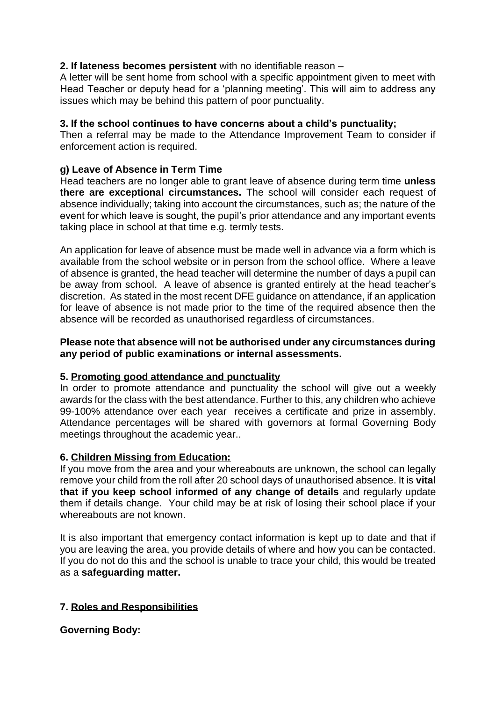#### **2. If lateness becomes persistent** with no identifiable reason –

A letter will be sent home from school with a specific appointment given to meet with Head Teacher or deputy head for a 'planning meeting'. This will aim to address any issues which may be behind this pattern of poor punctuality.

#### **3. If the school continues to have concerns about a child's punctuality;**

Then a referral may be made to the Attendance Improvement Team to consider if enforcement action is required.

#### **g) Leave of Absence in Term Time**

Head teachers are no longer able to grant leave of absence during term time **unless there are exceptional circumstances.** The school will consider each request of absence individually; taking into account the circumstances, such as; the nature of the event for which leave is sought, the pupil's prior attendance and any important events taking place in school at that time e.g. termly tests.

An application for leave of absence must be made well in advance via a form which is available from the school website or in person from the school office. Where a leave of absence is granted, the head teacher will determine the number of days a pupil can be away from school. A leave of absence is granted entirely at the head teacher's discretion. As stated in the most recent DFE guidance on attendance, if an application for leave of absence is not made prior to the time of the required absence then the absence will be recorded as unauthorised regardless of circumstances.

#### **Please note that absence will not be authorised under any circumstances during any period of public examinations or internal assessments.**

#### **5. Promoting good attendance and punctuality**

In order to promote attendance and punctuality the school will give out a weekly awards for the class with the best attendance. Further to this, any children who achieve 99-100% attendance over each year receives a certificate and prize in assembly. Attendance percentages will be shared with governors at formal Governing Body meetings throughout the academic year..

#### **6. Children Missing from Education:**

If you move from the area and your whereabouts are unknown, the school can legally remove your child from the roll after 20 school days of unauthorised absence. It is **vital that if you keep school informed of any change of details** and regularly update them if details change. Your child may be at risk of losing their school place if your whereabouts are not known.

It is also important that emergency contact information is kept up to date and that if you are leaving the area, you provide details of where and how you can be contacted. If you do not do this and the school is unable to trace your child, this would be treated as a **safeguarding matter.**

#### **7. Roles and Responsibilities**

**Governing Body:**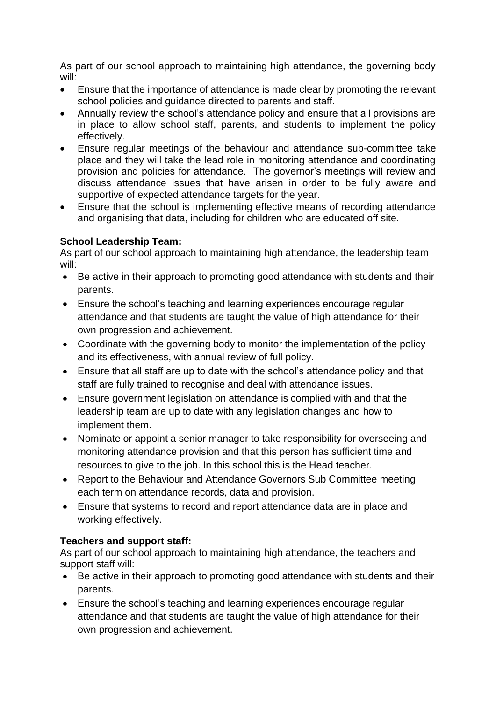As part of our school approach to maintaining high attendance, the governing body will:

- Ensure that the importance of attendance is made clear by promoting the relevant school policies and guidance directed to parents and staff.
- Annually review the school's attendance policy and ensure that all provisions are in place to allow school staff, parents, and students to implement the policy effectively.
- Ensure regular meetings of the behaviour and attendance sub-committee take place and they will take the lead role in monitoring attendance and coordinating provision and policies for attendance. The governor's meetings will review and discuss attendance issues that have arisen in order to be fully aware and supportive of expected attendance targets for the year.
- Ensure that the school is implementing effective means of recording attendance and organising that data, including for children who are educated off site.

#### **School Leadership Team:**

As part of our school approach to maintaining high attendance, the leadership team will:

- Be active in their approach to promoting good attendance with students and their parents.
- Ensure the school's teaching and learning experiences encourage regular attendance and that students are taught the value of high attendance for their own progression and achievement.
- Coordinate with the governing body to monitor the implementation of the policy and its effectiveness, with annual review of full policy.
- Ensure that all staff are up to date with the school's attendance policy and that staff are fully trained to recognise and deal with attendance issues.
- Ensure government legislation on attendance is complied with and that the leadership team are up to date with any legislation changes and how to implement them.
- Nominate or appoint a senior manager to take responsibility for overseeing and monitoring attendance provision and that this person has sufficient time and resources to give to the job. In this school this is the Head teacher.
- Report to the Behaviour and Attendance Governors Sub Committee meeting each term on attendance records, data and provision.
- Ensure that systems to record and report attendance data are in place and working effectively.

### **Teachers and support staff:**

As part of our school approach to maintaining high attendance, the teachers and support staff will:

- Be active in their approach to promoting good attendance with students and their parents.
- Ensure the school's teaching and learning experiences encourage regular attendance and that students are taught the value of high attendance for their own progression and achievement.